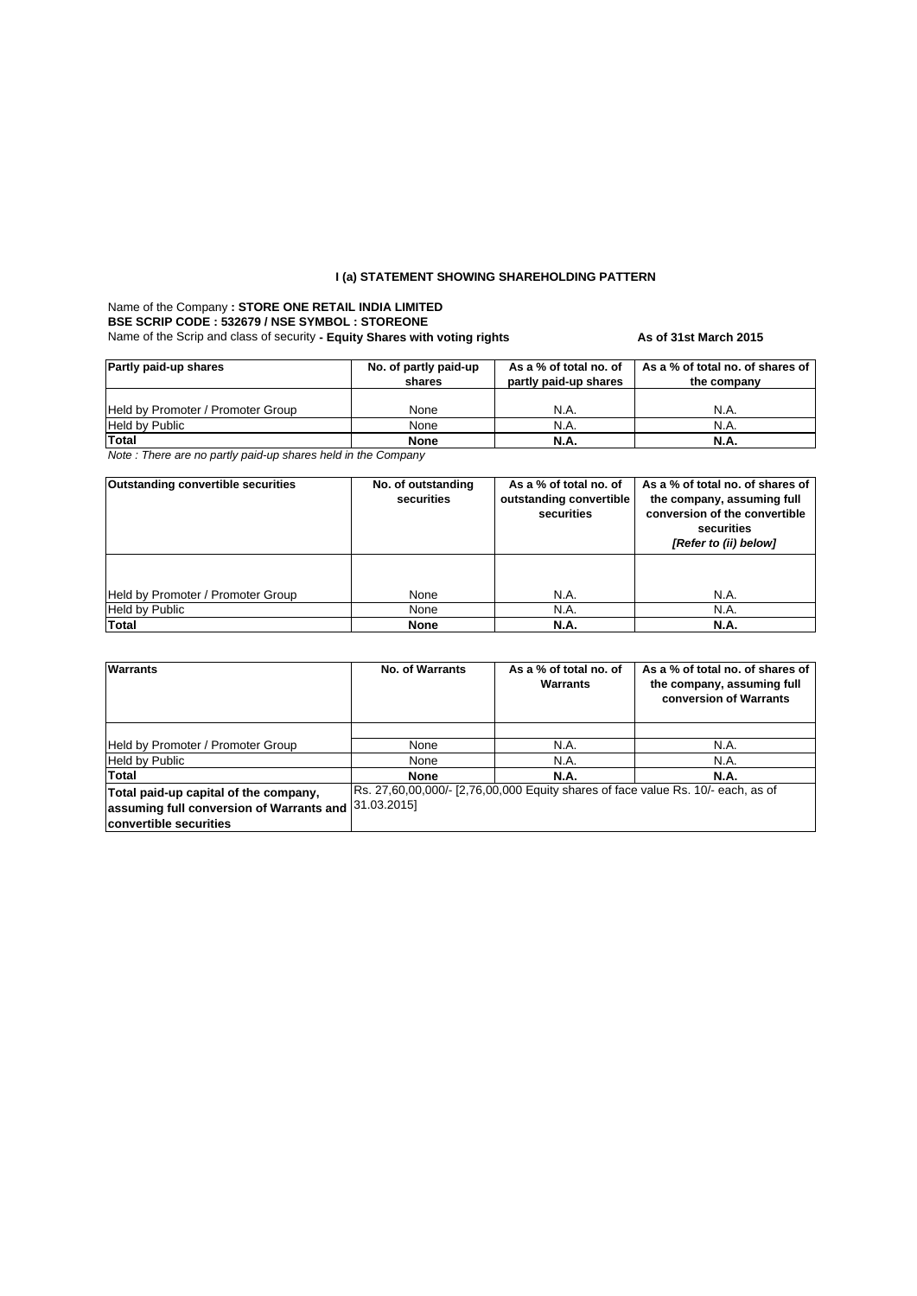## **I (a) STATEMENT SHOWING SHAREHOLDING PATTERN**

## Name of the Company **: STORE ONE RETAIL INDIA LIMITED** Name of the Scrip and class of security **- Equity Shares with voting rights As of 31st March 2015 BSE SCRIP CODE : 532679 / NSE SYMBOL : STOREONE**

| No. of partly paid-up | As a % of total no. of | As a % of total no. of shares of |
|-----------------------|------------------------|----------------------------------|
| shares                | partly paid-up shares  | the company                      |
|                       |                        |                                  |
| None                  | N.A.                   | N.A.                             |
| None                  | N.A.                   | N.A.                             |
| <b>None</b>           | N.A.                   | N.A.                             |
|                       |                        |                                  |

*Note : There are no partly paid-up shares held in the Company*

| <b>Outstanding convertible securities</b> | No. of outstanding<br>securities | As a % of total no. of<br>outstanding convertible<br>securities | As a % of total no. of shares of<br>the company, assuming full<br>conversion of the convertible<br>securities<br>[Refer to (ii) below] |  |
|-------------------------------------------|----------------------------------|-----------------------------------------------------------------|----------------------------------------------------------------------------------------------------------------------------------------|--|
| Held by Promoter / Promoter Group         | None                             | <b>N.A.</b>                                                     | N.A.                                                                                                                                   |  |
| <b>Held by Public</b>                     | None                             | N.A.                                                            | N.A.                                                                                                                                   |  |
| Total                                     | <b>None</b>                      | <b>N.A.</b>                                                     | <b>N.A.</b>                                                                                                                            |  |

| <b>Warrants</b>                                      | <b>No. of Warrants</b> | As a % of total no. of<br><b>Warrants</b> | As a % of total no. of shares of<br>the company, assuming full<br>conversion of Warrants |
|------------------------------------------------------|------------------------|-------------------------------------------|------------------------------------------------------------------------------------------|
|                                                      |                        |                                           |                                                                                          |
| Held by Promoter / Promoter Group                    | None                   | N.A.                                      | N.A.                                                                                     |
| <b>Held by Public</b>                                | None                   | N.A.                                      | N.A.                                                                                     |
| Total                                                | <b>None</b>            | <b>N.A.</b>                               | N.A.                                                                                     |
| Total paid-up capital of the company,                |                        |                                           | [Rs. 27,60,00,000/- [2,76,00,000 Equity shares of face value Rs. 10/- each, as of        |
| assuming full conversion of Warrants and 31.03.2015] |                        |                                           |                                                                                          |
| convertible securities                               |                        |                                           |                                                                                          |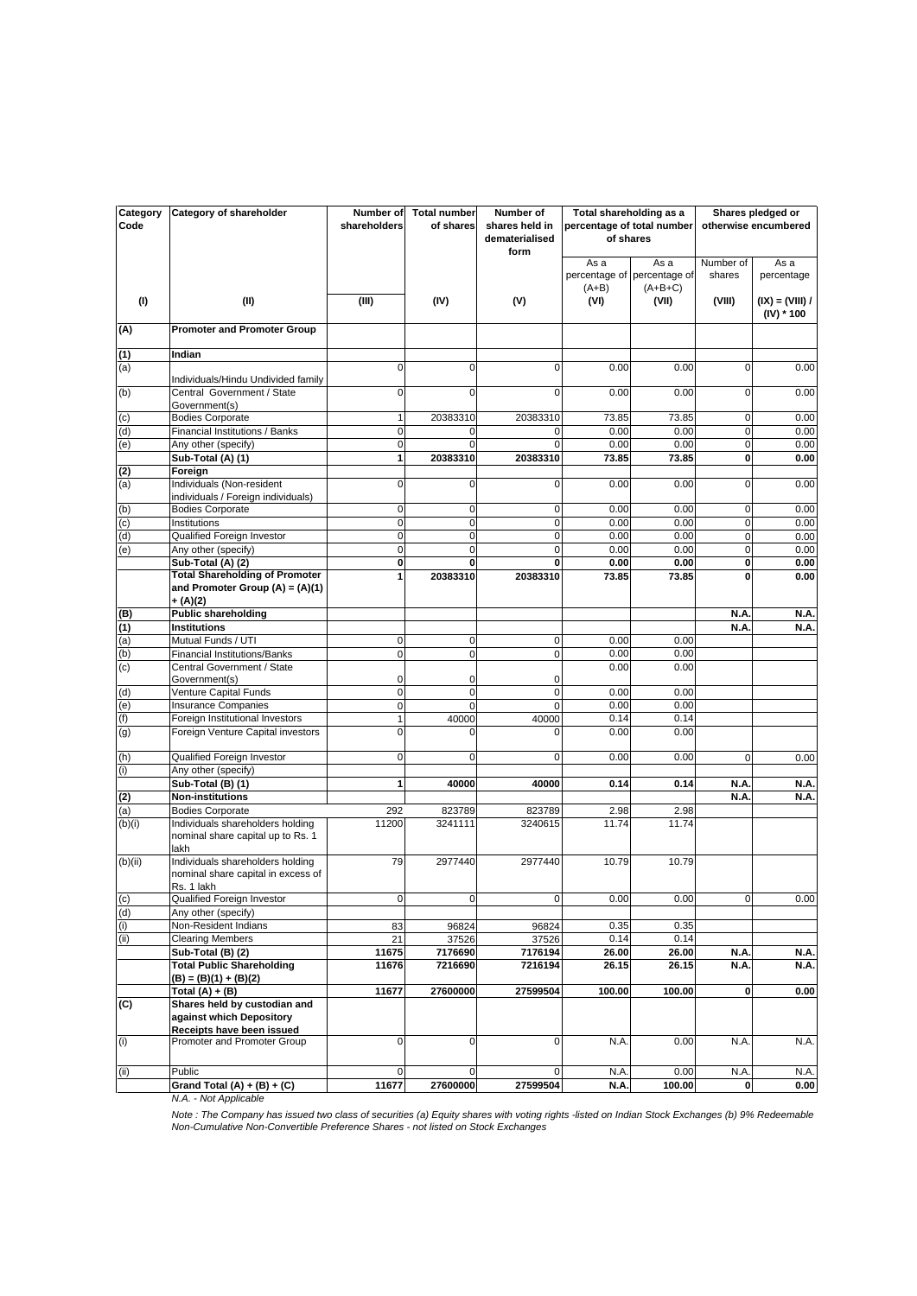| Category<br>Code | Category of shareholder                                                                | Number of<br>shareholders | <b>Total number</b><br>of shares | Number of<br>shares held in | Total shareholding as a<br>percentage of total number |                                     | Shares pledged or<br>otherwise encumbered |                                 |  |
|------------------|----------------------------------------------------------------------------------------|---------------------------|----------------------------------|-----------------------------|-------------------------------------------------------|-------------------------------------|-------------------------------------------|---------------------------------|--|
|                  |                                                                                        |                           |                                  | dematerialised<br>form      | of shares                                             |                                     |                                           |                                 |  |
|                  |                                                                                        |                           |                                  |                             | As a                                                  | As a<br>percentage of percentage of | Number of<br>shares                       | As a<br>percentage              |  |
| (1)              | (II)                                                                                   | (III)                     | (IV)                             | (V)                         | $(A+B)$<br>(VI)                                       | $(A+B+C)$<br>(VII)                  | (VIII)                                    | $(IX) = (VIII) /$<br>(IV) * 100 |  |
| (A)              | <b>Promoter and Promoter Group</b>                                                     |                           |                                  |                             |                                                       |                                     |                                           |                                 |  |
| (1)              | Indian                                                                                 |                           |                                  |                             |                                                       |                                     |                                           |                                 |  |
| (a)              | Individuals/Hindu Undivided family                                                     | $\Omega$                  | 0                                | 0                           | 0.00                                                  | 0.00                                | $\mathbf 0$                               | 0.00                            |  |
| (b)              | Central Government / State<br>Government(s)                                            | $\mathbf 0$               | $\mathbf 0$                      | $\mathbf 0$                 | 0.00                                                  | 0.00                                | 0                                         | 0.00                            |  |
| (c)              | <b>Bodies Corporate</b>                                                                |                           | 20383310                         | 20383310                    | 73.85                                                 | 73.85                               | 0                                         | 0.00                            |  |
| (d)              | Financial Institutions / Banks                                                         | $\mathbf 0$               | 0                                | $\Omega$                    | 0.00                                                  | 0.00                                | $\pmb{0}$                                 | 0.00                            |  |
| (e)              | Any other (specify)                                                                    | $\mathbf 0$               | 0                                | $\mathbf 0$                 | 0.00                                                  | 0.00                                | 0                                         | 0.00                            |  |
|                  | Sub-Total (A) (1)                                                                      | 1                         | 20383310                         | 20383310                    | 73.85                                                 | 73.85                               | 0                                         | 0.00                            |  |
| (2)              | Foreign                                                                                |                           |                                  |                             |                                                       |                                     |                                           |                                 |  |
| (a)              | Individuals (Non-resident<br>individuals / Foreign individuals)                        | $\mathbf 0$               | 0                                | $\mathbf 0$                 | 0.00                                                  | 0.00                                | 0                                         | 0.00                            |  |
| (b)              | <b>Bodies Corporate</b>                                                                | $\mathbf 0$               | $\pmb{0}$                        | $\mathbf 0$                 | 0.00                                                  | 0.00                                | 0                                         | 0.00                            |  |
| (c)              | Institutions                                                                           | $\mathbf 0$               | $\overline{\mathbf{0}}$          | $\mathbf 0$                 | 0.00                                                  | 0.00                                | $\overline{0}$                            | 0.00                            |  |
| (d)              | Qualified Foreign Investor                                                             | 0                         | $\mathbf 0$                      | $\mathbf 0$                 | 0.00                                                  | 0.00                                | $\mathbf 0$                               | 0.00                            |  |
| (e)              | Any other (specify)                                                                    | 0                         | $\mathbf 0$                      | $\pmb{0}$                   | 0.00                                                  | 0.00                                | $\mathbf 0$                               | 0.00                            |  |
|                  | Sub-Total (A) (2)                                                                      | $\mathbf{0}$              | $\bf{0}$                         | $\bf{0}$                    | 0.00                                                  | 0.00                                | $\bf{0}$                                  | 0.00                            |  |
|                  | <b>Total Shareholding of Promoter</b><br>and Promoter Group $(A) = (A)(1)$<br>+ (A)(2) |                           | 20383310                         | 20383310                    | 73.85                                                 | 73.85                               | 0                                         | 0.00                            |  |
| (B)              | <b>Public shareholding</b>                                                             |                           |                                  |                             |                                                       |                                     | N.A.                                      | N.A.                            |  |
| (1)              | <b>Institutions</b>                                                                    |                           |                                  |                             |                                                       |                                     | N.A.                                      | N.A.                            |  |
| (a)              | Mutual Funds / UTI                                                                     | $\mathbf 0$               | 0                                | 0                           | 0.00                                                  | 0.00                                |                                           |                                 |  |
| (b)              | <b>Financial Institutions/Banks</b>                                                    | $\mathbf 0$               | 0                                | 0                           | 0.00                                                  | 0.00                                |                                           |                                 |  |
| $\overline{c}$   | Central Government / State                                                             |                           |                                  |                             | 0.00                                                  | 0.00                                |                                           |                                 |  |
|                  | Government(s)                                                                          | 0                         | 0                                | 0                           |                                                       |                                     |                                           |                                 |  |
| (d)              | Venture Capital Funds                                                                  | 0                         | $\mathbf 0$                      | $\pmb{0}$                   | 0.00                                                  | 0.00                                |                                           |                                 |  |
| (e)              | <b>Insurance Companies</b>                                                             | $\mathbf 0$               | $\mathbf 0$                      | $\mathbf 0$                 | 0.00                                                  | 0.00                                |                                           |                                 |  |
| (f)              | Foreign Institutional Investors                                                        | $\mathbf{1}$              | 40000                            | 40000                       | 0.14                                                  | 0.14                                |                                           |                                 |  |
| (g)              | Foreign Venture Capital investors                                                      | 0                         | 0                                | $\Omega$                    | 0.00                                                  | 0.00                                |                                           |                                 |  |
| (h)              | Qualified Foreign Investor                                                             | 0                         | 0                                | 0                           | 0.00                                                  | 0.00                                | 0                                         | 0.00                            |  |
| (i)              | Any other (specify)                                                                    |                           |                                  |                             |                                                       |                                     |                                           |                                 |  |
|                  | Sub-Total (B) (1)                                                                      | 1                         | 40000                            | 40000                       | 0.14                                                  | 0.14                                | N.A                                       | N.A.                            |  |
| (2)              | <b>Non-institutions</b>                                                                |                           |                                  |                             |                                                       |                                     | N.A.                                      | N.A.                            |  |
| (a)              | <b>Bodies Corporate</b>                                                                | 292                       | 823789                           | 823789                      | 2.98                                                  | 2.98                                |                                           |                                 |  |
| (b)(i)           | Individuals shareholders holding<br>nominal share capital up to Rs. 1<br>lakh          | 11200                     | 3241111                          | 3240615                     | 11.74                                                 | 11.74                               |                                           |                                 |  |
| (b)(ii)          | Individuals shareholders holding<br>nominal share capital in excess of                 | 79                        | 2977440                          | 2977440                     | 10.79                                                 | 10.79                               |                                           |                                 |  |
|                  | Rs. 1 lakh                                                                             |                           |                                  |                             |                                                       |                                     |                                           |                                 |  |
| (c)              | Qualified Foreign Investor                                                             | $\mathbf 0$               | 0                                | $\overline{0}$              | 0.00                                                  | 0.00                                | 0                                         | 0.00                            |  |
| (d)              | Any other (specify)                                                                    |                           |                                  |                             |                                                       |                                     |                                           |                                 |  |
| (i)              | Non-Resident Indians                                                                   | 83                        | 96824                            | 96824                       | 0.35                                                  | 0.35                                |                                           |                                 |  |
| (i)              | <b>Clearing Members</b>                                                                | 21                        | 37526                            | 37526                       | 0.14                                                  | 0.14                                |                                           |                                 |  |
|                  | Sub-Total (B) (2)                                                                      | 11675                     | 7176690                          | 7176194                     | 26.00                                                 | 26.00                               | N.A.                                      | N.A.                            |  |
|                  | <b>Total Public Shareholding</b><br>$(B) = (B)(1) + (B)(2)$                            | 11676                     | 7216690                          | 7216194                     | 26.15                                                 | 26.15                               | N.A.                                      | N.A.                            |  |
|                  | Total $(A) + (B)$                                                                      | 11677                     | 27600000                         | 27599504                    | 100.00                                                | 100.00                              | 0                                         | 0.00                            |  |
| $\overline{c}$   | Shares held by custodian and<br>against which Depository                               |                           |                                  |                             |                                                       |                                     |                                           |                                 |  |
| (i)              | Receipts have been issued<br>Promoter and Promoter Group                               | 0                         | 0                                | $\mathbf 0$                 | N.A.                                                  | 0.00                                | N.A.                                      | N.A.                            |  |
|                  |                                                                                        |                           |                                  |                             |                                                       |                                     |                                           |                                 |  |
| (ii)             | Public                                                                                 | $\mathbf 0$               | $\mathbf 0$                      | $\mathbf{0}$                | N.A.                                                  | 0.00                                | N.A.                                      | N.A.                            |  |
|                  | Grand Total $(A) + (B) + (C)$                                                          | 11677                     | 27600000                         | 27599504                    | N.A.                                                  | 100.00                              | $\mathbf{0}$                              | 0.00                            |  |

*N.A. - Not Applicable*

*Note : The Company has issued two class of securities (a) Equity shares with voting rights -listed on Indian Stock Exchanges (b) 9% Redeemable Non-Cumulative Non-Convertible Preference Shares - not listed on Stock Exchanges*